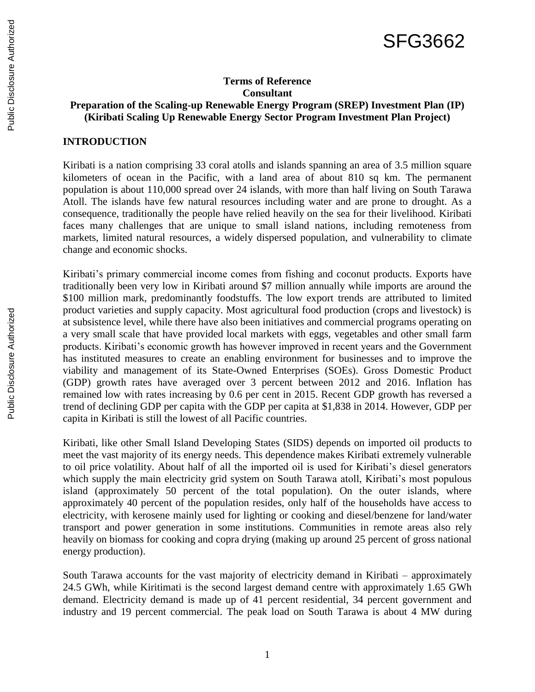# SFG3662

### **Terms of Reference Consultant Preparation of the Scaling-up Renewable Energy Program (SREP) Investment Plan (IP) (Kiribati Scaling Up Renewable Energy Sector Program Investment Plan Project)**

#### **INTRODUCTION**

Kiribati is a nation comprising 33 coral atolls and islands spanning an area of 3.5 million square kilometers of ocean in the Pacific, with a land area of about 810 sq km. The permanent population is about 110,000 spread over 24 islands, with more than half living on South Tarawa Atoll. The islands have few natural resources including water and are prone to drought. As a consequence, traditionally the people have relied heavily on the sea for their livelihood. Kiribati faces many challenges that are unique to small island nations, including remoteness from markets, limited natural resources, a widely dispersed population, and vulnerability to climate change and economic shocks.

Kiribati's primary commercial income comes from fishing and coconut products. Exports have traditionally been very low in Kiribati around \$7 million annually while imports are around the \$100 million mark, predominantly foodstuffs. The low export trends are attributed to limited product varieties and supply capacity. Most agricultural food production (crops and livestock) is at subsistence level, while there have also been initiatives and commercial programs operating on a very small scale that have provided local markets with eggs, vegetables and other small farm products. Kiribati's economic growth has however improved in recent years and the Government has instituted measures to create an enabling environment for businesses and to improve the viability and management of its State-Owned Enterprises (SOEs). Gross Domestic Product (GDP) growth rates have averaged over 3 percent between 2012 and 2016. Inflation has remained low with rates increasing by 0.6 per cent in 2015. Recent GDP growth has reversed a trend of declining GDP per capita with the GDP per capita at \$1,838 in 2014. However, GDP per capita in Kiribati is still the lowest of all Pacific countries.

Kiribati, like other Small Island Developing States (SIDS) depends on imported oil products to meet the vast majority of its energy needs. This dependence makes Kiribati extremely vulnerable to oil price volatility. About half of all the imported oil is used for Kiribati's diesel generators which supply the main electricity grid system on South Tarawa atoll, Kiribati's most populous island (approximately 50 percent of the total population). On the outer islands, where approximately 40 percent of the population resides, only half of the households have access to electricity, with kerosene mainly used for lighting or cooking and diesel/benzene for land/water transport and power generation in some institutions. Communities in remote areas also rely heavily on biomass for cooking and copra drying (making up around 25 percent of gross national energy production).

South Tarawa accounts for the vast majority of electricity demand in Kiribati – approximately 24.5 GWh, while Kiritimati is the second largest demand centre with approximately 1.65 GWh demand. Electricity demand is made up of 41 percent residential, 34 percent government and industry and 19 percent commercial. The peak load on South Tarawa is about 4 MW during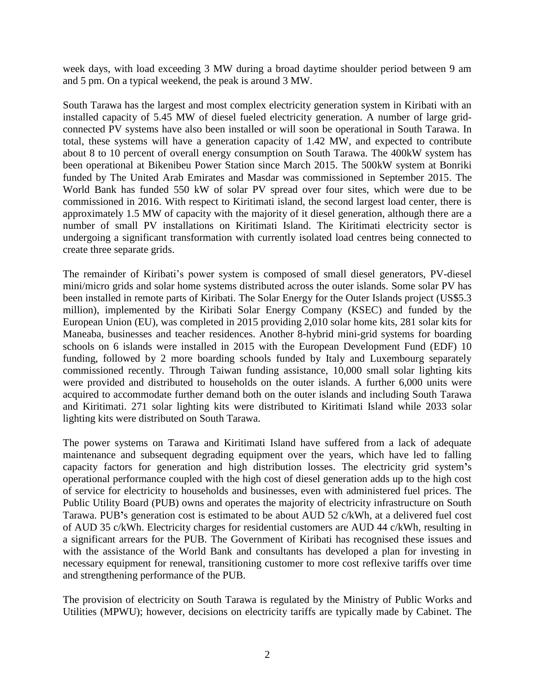week days, with load exceeding 3 MW during a broad daytime shoulder period between 9 am and 5 pm. On a typical weekend, the peak is around 3 MW.

South Tarawa has the largest and most complex electricity generation system in Kiribati with an installed capacity of 5.45 MW of diesel fueled electricity generation. A number of large gridconnected PV systems have also been installed or will soon be operational in South Tarawa. In total, these systems will have a generation capacity of 1.42 MW, and expected to contribute about 8 to 10 percent of overall energy consumption on South Tarawa. The 400kW system has been operational at Bikenibeu Power Station since March 2015. The 500kW system at Bonriki funded by The United Arab Emirates and Masdar was commissioned in September 2015. The World Bank has funded 550 kW of solar PV spread over four sites, which were due to be commissioned in 2016. With respect to Kiritimati island, the second largest load center, there is approximately 1.5 MW of capacity with the majority of it diesel generation, although there are a number of small PV installations on Kiritimati Island. The Kiritimati electricity sector is undergoing a significant transformation with currently isolated load centres being connected to create three separate grids.

The remainder of Kiribati's power system is composed of small diesel generators, PV-diesel mini/micro grids and solar home systems distributed across the outer islands. Some solar PV has been installed in remote parts of Kiribati. The Solar Energy for the Outer Islands project (US\$5.3 million), implemented by the Kiribati Solar Energy Company (KSEC) and funded by the European Union (EU), was completed in 2015 providing 2,010 solar home kits, 281 solar kits for Maneaba, businesses and teacher residences. Another 8-hybrid mini-grid systems for boarding schools on 6 islands were installed in 2015 with the European Development Fund (EDF) 10 funding, followed by 2 more boarding schools funded by Italy and Luxembourg separately commissioned recently. Through Taiwan funding assistance, 10,000 small solar lighting kits were provided and distributed to households on the outer islands. A further 6,000 units were acquired to accommodate further demand both on the outer islands and including South Tarawa and Kiritimati. 271 solar lighting kits were distributed to Kiritimati Island while 2033 solar lighting kits were distributed on South Tarawa.

The power systems on Tarawa and Kiritimati Island have suffered from a lack of adequate maintenance and subsequent degrading equipment over the years, which have led to falling capacity factors for generation and high distribution losses. The electricity grid system**'**s operational performance coupled with the high cost of diesel generation adds up to the high cost of service for electricity to households and businesses, even with administered fuel prices. The Public Utility Board (PUB) owns and operates the majority of electricity infrastructure on South Tarawa. PUB**'**s generation cost is estimated to be about AUD 52 c/kWh, at a delivered fuel cost of AUD 35 c/kWh. Electricity charges for residential customers are AUD 44 c/kWh, resulting in a significant arrears for the PUB. The Government of Kiribati has recognised these issues and with the assistance of the World Bank and consultants has developed a plan for investing in necessary equipment for renewal, transitioning customer to more cost reflexive tariffs over time and strengthening performance of the PUB.

The provision of electricity on South Tarawa is regulated by the Ministry of Public Works and Utilities (MPWU); however, decisions on electricity tariffs are typically made by Cabinet. The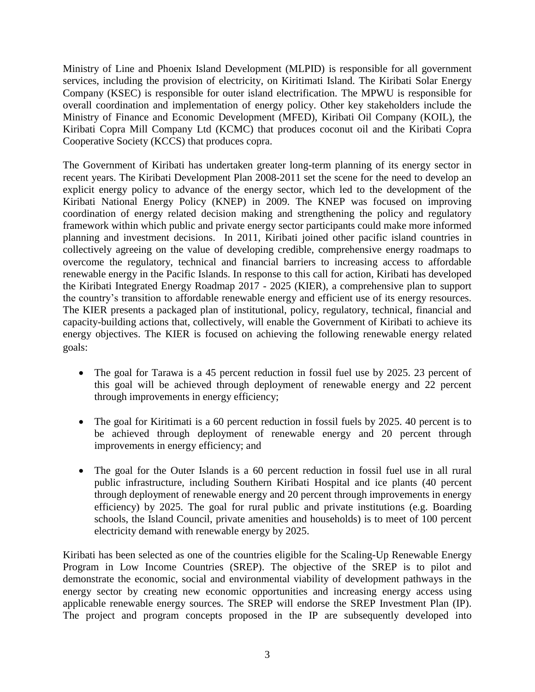Ministry of Line and Phoenix Island Development (MLPID) is responsible for all government services, including the provision of electricity, on Kiritimati Island. The Kiribati Solar Energy Company (KSEC) is responsible for outer island electrification. The MPWU is responsible for overall coordination and implementation of energy policy. Other key stakeholders include the Ministry of Finance and Economic Development (MFED), Kiribati Oil Company (KOIL), the Kiribati Copra Mill Company Ltd (KCMC) that produces coconut oil and the Kiribati Copra Cooperative Society (KCCS) that produces copra.

The Government of Kiribati has undertaken greater long-term planning of its energy sector in recent years. The Kiribati Development Plan 2008-2011 set the scene for the need to develop an explicit energy policy to advance of the energy sector, which led to the development of the Kiribati National Energy Policy (KNEP) in 2009. The KNEP was focused on improving coordination of energy related decision making and strengthening the policy and regulatory framework within which public and private energy sector participants could make more informed planning and investment decisions. In 2011, Kiribati joined other pacific island countries in collectively agreeing on the value of developing credible, comprehensive energy roadmaps to overcome the regulatory, technical and financial barriers to increasing access to affordable renewable energy in the Pacific Islands. In response to this call for action, Kiribati has developed the Kiribati Integrated Energy Roadmap 2017 - 2025 (KIER), a comprehensive plan to support the country's transition to affordable renewable energy and efficient use of its energy resources. The KIER presents a packaged plan of institutional, policy, regulatory, technical, financial and capacity-building actions that, collectively, will enable the Government of Kiribati to achieve its energy objectives. The KIER is focused on achieving the following renewable energy related goals:

- The goal for Tarawa is a 45 percent reduction in fossil fuel use by 2025. 23 percent of this goal will be achieved through deployment of renewable energy and 22 percent through improvements in energy efficiency;
- The goal for Kiritimati is a 60 percent reduction in fossil fuels by 2025. 40 percent is to be achieved through deployment of renewable energy and 20 percent through improvements in energy efficiency; and
- The goal for the Outer Islands is a 60 percent reduction in fossil fuel use in all rural public infrastructure, including Southern Kiribati Hospital and ice plants (40 percent through deployment of renewable energy and 20 percent through improvements in energy efficiency) by 2025. The goal for rural public and private institutions (e.g. Boarding schools, the Island Council, private amenities and households) is to meet of 100 percent electricity demand with renewable energy by 2025.

Kiribati has been selected as one of the countries eligible for the Scaling-Up Renewable Energy Program in Low Income Countries (SREP). The objective of the SREP is to pilot and demonstrate the economic, social and environmental viability of development pathways in the energy sector by creating new economic opportunities and increasing energy access using applicable renewable energy sources. The SREP will endorse the SREP Investment Plan (IP). The project and program concepts proposed in the IP are subsequently developed into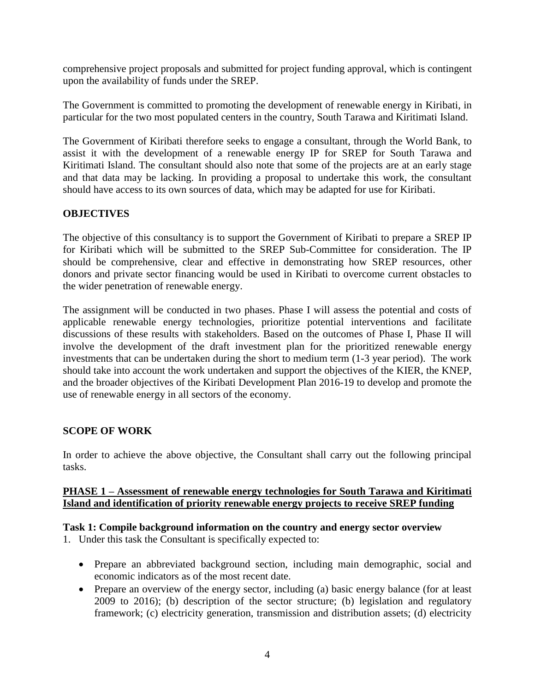comprehensive project proposals and submitted for project funding approval, which is contingent upon the availability of funds under the SREP.

The Government is committed to promoting the development of renewable energy in Kiribati, in particular for the two most populated centers in the country, South Tarawa and Kiritimati Island.

The Government of Kiribati therefore seeks to engage a consultant, through the World Bank, to assist it with the development of a renewable energy IP for SREP for South Tarawa and Kiritimati Island. The consultant should also note that some of the projects are at an early stage and that data may be lacking. In providing a proposal to undertake this work, the consultant should have access to its own sources of data, which may be adapted for use for Kiribati.

#### **OBJECTIVES**

The objective of this consultancy is to support the Government of Kiribati to prepare a SREP IP for Kiribati which will be submitted to the SREP Sub-Committee for consideration. The IP should be comprehensive, clear and effective in demonstrating how SREP resources, other donors and private sector financing would be used in Kiribati to overcome current obstacles to the wider penetration of renewable energy.

The assignment will be conducted in two phases. Phase I will assess the potential and costs of applicable renewable energy technologies, prioritize potential interventions and facilitate discussions of these results with stakeholders. Based on the outcomes of Phase I, Phase II will involve the development of the draft investment plan for the prioritized renewable energy investments that can be undertaken during the short to medium term (1-3 year period). The work should take into account the work undertaken and support the objectives of the KIER, the KNEP, and the broader objectives of the Kiribati Development Plan 2016-19 to develop and promote the use of renewable energy in all sectors of the economy.

#### **SCOPE OF WORK**

In order to achieve the above objective, the Consultant shall carry out the following principal tasks.

#### **PHASE 1 – Assessment of renewable energy technologies for South Tarawa and Kiritimati Island and identification of priority renewable energy projects to receive SREP funding**

#### **Task 1: Compile background information on the country and energy sector overview**

- 1. Under this task the Consultant is specifically expected to:
	- Prepare an abbreviated background section, including main demographic, social and economic indicators as of the most recent date.
	- Prepare an overview of the energy sector, including (a) basic energy balance (for at least 2009 to 2016); (b) description of the sector structure; (b) legislation and regulatory framework; (c) electricity generation, transmission and distribution assets; (d) electricity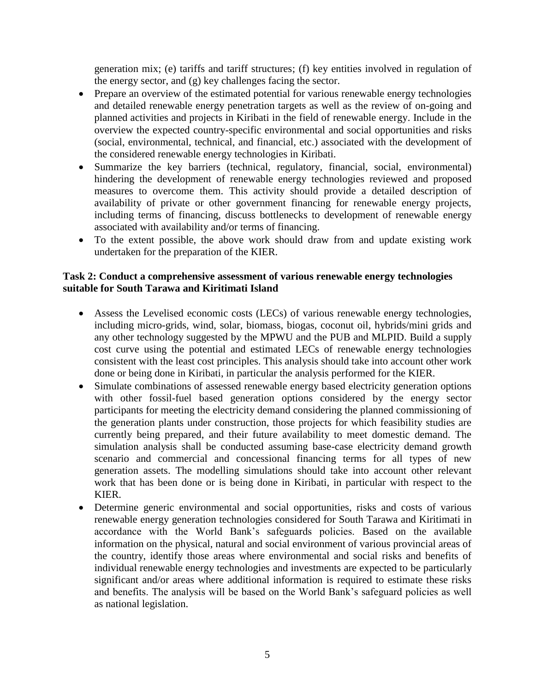generation mix; (e) tariffs and tariff structures; (f) key entities involved in regulation of the energy sector, and (g) key challenges facing the sector.

- Prepare an overview of the estimated potential for various renewable energy technologies and detailed renewable energy penetration targets as well as the review of on-going and planned activities and projects in Kiribati in the field of renewable energy. Include in the overview the expected country-specific environmental and social opportunities and risks (social, environmental, technical, and financial, etc.) associated with the development of the considered renewable energy technologies in Kiribati.
- Summarize the key barriers (technical, regulatory, financial, social, environmental) hindering the development of renewable energy technologies reviewed and proposed measures to overcome them. This activity should provide a detailed description of availability of private or other government financing for renewable energy projects, including terms of financing, discuss bottlenecks to development of renewable energy associated with availability and/or terms of financing.
- To the extent possible, the above work should draw from and update existing work undertaken for the preparation of the KIER.

### **Task 2: Conduct a comprehensive assessment of various renewable energy technologies suitable for South Tarawa and Kiritimati Island**

- Assess the Levelised economic costs (LECs) of various renewable energy technologies, including micro-grids, wind, solar, biomass, biogas, coconut oil, hybrids/mini grids and any other technology suggested by the MPWU and the PUB and MLPID. Build a supply cost curve using the potential and estimated LECs of renewable energy technologies consistent with the least cost principles. This analysis should take into account other work done or being done in Kiribati, in particular the analysis performed for the KIER.
- Simulate combinations of assessed renewable energy based electricity generation options with other fossil-fuel based generation options considered by the energy sector participants for meeting the electricity demand considering the planned commissioning of the generation plants under construction, those projects for which feasibility studies are currently being prepared, and their future availability to meet domestic demand. The simulation analysis shall be conducted assuming base-case electricity demand growth scenario and commercial and concessional financing terms for all types of new generation assets. The modelling simulations should take into account other relevant work that has been done or is being done in Kiribati, in particular with respect to the KIER.
- Determine generic environmental and social opportunities, risks and costs of various renewable energy generation technologies considered for South Tarawa and Kiritimati in accordance with the World Bank's safeguards policies. Based on the available information on the physical, natural and social environment of various provincial areas of the country, identify those areas where environmental and social risks and benefits of individual renewable energy technologies and investments are expected to be particularly significant and/or areas where additional information is required to estimate these risks and benefits. The analysis will be based on the World Bank's safeguard policies as well as national legislation.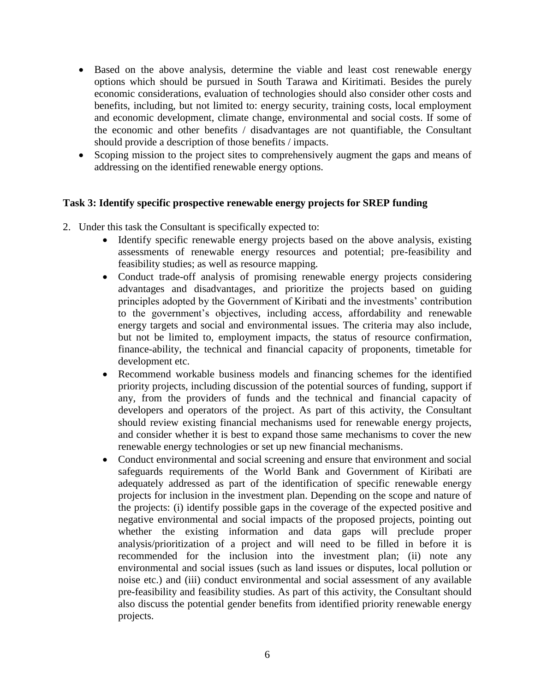- Based on the above analysis, determine the viable and least cost renewable energy options which should be pursued in South Tarawa and Kiritimati. Besides the purely economic considerations, evaluation of technologies should also consider other costs and benefits, including, but not limited to: energy security, training costs, local employment and economic development, climate change, environmental and social costs. If some of the economic and other benefits / disadvantages are not quantifiable, the Consultant should provide a description of those benefits / impacts.
- Scoping mission to the project sites to comprehensively augment the gaps and means of addressing on the identified renewable energy options.

#### **Task 3: Identify specific prospective renewable energy projects for SREP funding**

- 2. Under this task the Consultant is specifically expected to:
	- Identify specific renewable energy projects based on the above analysis, existing assessments of renewable energy resources and potential; pre-feasibility and feasibility studies; as well as resource mapping.
	- Conduct trade-off analysis of promising renewable energy projects considering advantages and disadvantages, and prioritize the projects based on guiding principles adopted by the Government of Kiribati and the investments' contribution to the government's objectives, including access, affordability and renewable energy targets and social and environmental issues. The criteria may also include, but not be limited to, employment impacts, the status of resource confirmation, finance-ability, the technical and financial capacity of proponents, timetable for development etc.
	- Recommend workable business models and financing schemes for the identified priority projects, including discussion of the potential sources of funding, support if any, from the providers of funds and the technical and financial capacity of developers and operators of the project. As part of this activity, the Consultant should review existing financial mechanisms used for renewable energy projects, and consider whether it is best to expand those same mechanisms to cover the new renewable energy technologies or set up new financial mechanisms.
	- Conduct environmental and social screening and ensure that environment and social safeguards requirements of the World Bank and Government of Kiribati are adequately addressed as part of the identification of specific renewable energy projects for inclusion in the investment plan. Depending on the scope and nature of the projects: (i) identify possible gaps in the coverage of the expected positive and negative environmental and social impacts of the proposed projects, pointing out whether the existing information and data gaps will preclude proper analysis/prioritization of a project and will need to be filled in before it is recommended for the inclusion into the investment plan; (ii) note any environmental and social issues (such as land issues or disputes, local pollution or noise etc.) and (iii) conduct environmental and social assessment of any available pre-feasibility and feasibility studies. As part of this activity, the Consultant should also discuss the potential gender benefits from identified priority renewable energy projects.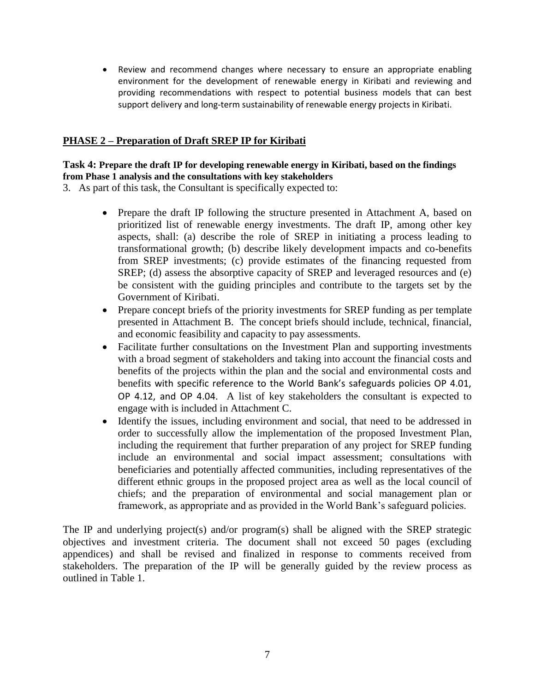Review and recommend changes where necessary to ensure an appropriate enabling environment for the development of renewable energy in Kiribati and reviewing and providing recommendations with respect to potential business models that can best support delivery and long-term sustainability of renewable energy projects in Kiribati.

#### **PHASE 2 – Preparation of Draft SREP IP for Kiribati**

#### **Task 4: Prepare the draft IP for developing renewable energy in Kiribati, based on the findings from Phase 1 analysis and the consultations with key stakeholders**

3. As part of this task, the Consultant is specifically expected to:

- Prepare the draft IP following the structure presented in Attachment A, based on prioritized list of renewable energy investments. The draft IP, among other key aspects, shall: (a) describe the role of SREP in initiating a process leading to transformational growth; (b) describe likely development impacts and co-benefits from SREP investments; (c) provide estimates of the financing requested from SREP; (d) assess the absorptive capacity of SREP and leveraged resources and (e) be consistent with the guiding principles and contribute to the targets set by the Government of Kiribati.
- Prepare concept briefs of the priority investments for SREP funding as per template presented in Attachment B. The concept briefs should include, technical, financial, and economic feasibility and capacity to pay assessments.
- Facilitate further consultations on the Investment Plan and supporting investments with a broad segment of stakeholders and taking into account the financial costs and benefits of the projects within the plan and the social and environmental costs and benefits with specific reference to the World Bank's safeguards policies OP 4.01, OP 4.12, and OP 4.04. A list of key stakeholders the consultant is expected to engage with is included in Attachment C.
- Identify the issues, including environment and social, that need to be addressed in order to successfully allow the implementation of the proposed Investment Plan, including the requirement that further preparation of any project for SREP funding include an environmental and social impact assessment; consultations with beneficiaries and potentially affected communities, including representatives of the different ethnic groups in the proposed project area as well as the local council of chiefs; and the preparation of environmental and social management plan or framework, as appropriate and as provided in the World Bank's safeguard policies.

The IP and underlying project(s) and/or program(s) shall be aligned with the SREP strategic objectives and investment criteria. The document shall not exceed 50 pages (excluding appendices) and shall be revised and finalized in response to comments received from stakeholders. The preparation of the IP will be generally guided by the review process as outlined in Table 1.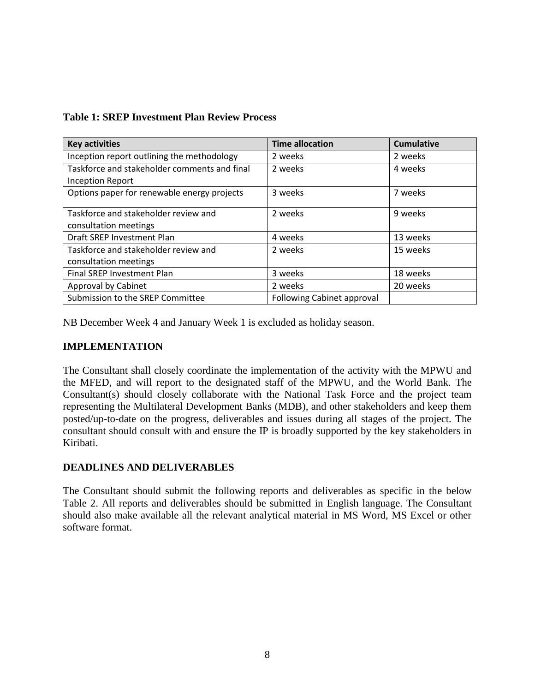| <b>Key activities</b>                        | <b>Time allocation</b>            | <b>Cumulative</b> |
|----------------------------------------------|-----------------------------------|-------------------|
| Inception report outlining the methodology   | 2 weeks                           | 2 weeks           |
| Taskforce and stakeholder comments and final | 2 weeks                           | 4 weeks           |
| <b>Inception Report</b>                      |                                   |                   |
| Options paper for renewable energy projects  | 3 weeks                           | 7 weeks           |
| Taskforce and stakeholder review and         | 2 weeks                           | 9 weeks           |
| consultation meetings                        |                                   |                   |
| Draft SREP Investment Plan                   | 4 weeks                           | 13 weeks          |
| Taskforce and stakeholder review and         | 2 weeks                           | 15 weeks          |
| consultation meetings                        |                                   |                   |
| Final SREP Investment Plan                   | 3 weeks                           | 18 weeks          |
| Approval by Cabinet                          | 2 weeks                           | 20 weeks          |
| Submission to the SREP Committee             | <b>Following Cabinet approval</b> |                   |

## **Table 1: SREP Investment Plan Review Process**

NB December Week 4 and January Week 1 is excluded as holiday season.

### **IMPLEMENTATION**

The Consultant shall closely coordinate the implementation of the activity with the MPWU and the MFED, and will report to the designated staff of the MPWU, and the World Bank. The Consultant(s) should closely collaborate with the National Task Force and the project team representing the Multilateral Development Banks (MDB), and other stakeholders and keep them posted/up-to-date on the progress, deliverables and issues during all stages of the project. The consultant should consult with and ensure the IP is broadly supported by the key stakeholders in Kiribati.

## **DEADLINES AND DELIVERABLES**

The Consultant should submit the following reports and deliverables as specific in the below Table 2. All reports and deliverables should be submitted in English language. The Consultant should also make available all the relevant analytical material in MS Word, MS Excel or other software format.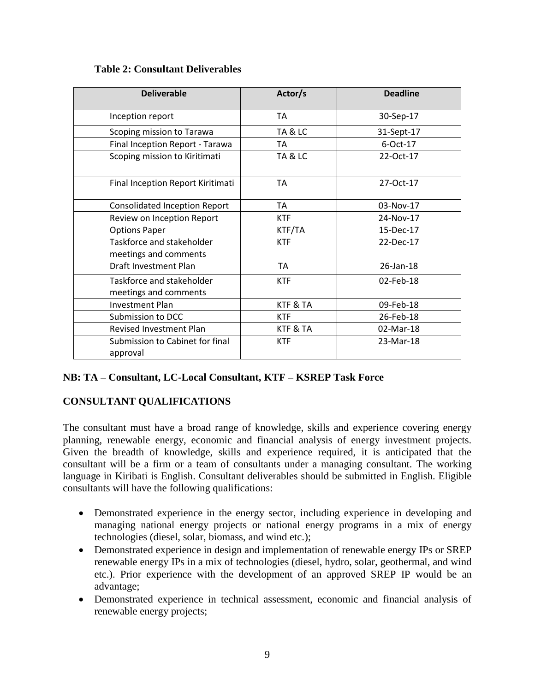### **Table 2: Consultant Deliverables**

| <b>Deliverable</b>                                 | Actor/s    | <b>Deadline</b> |
|----------------------------------------------------|------------|-----------------|
| Inception report                                   | <b>TA</b>  | 30-Sep-17       |
| Scoping mission to Tarawa                          | TA & LC    | 31-Sept-17      |
| Final Inception Report - Tarawa                    | <b>TA</b>  | 6-Oct-17        |
| Scoping mission to Kiritimati                      | TA & LC    | 22-Oct-17       |
| Final Inception Report Kiritimati                  | TA         | 27-Oct-17       |
| <b>Consolidated Inception Report</b>               | TA         | 03-Nov-17       |
| Review on Inception Report                         | <b>KTF</b> | 24-Nov-17       |
| <b>Options Paper</b>                               | KTF/TA     | 15-Dec-17       |
| Taskforce and stakeholder<br>meetings and comments | <b>KTF</b> | 22-Dec-17       |
| Draft Investment Plan                              | <b>TA</b>  | 26-Jan-18       |
| Taskforce and stakeholder<br>meetings and comments | <b>KTF</b> | 02-Feb-18       |
| <b>Investment Plan</b>                             | KTF & TA   | 09-Feb-18       |
| Submission to DCC                                  | <b>KTF</b> | 26-Feb-18       |
| <b>Revised Investment Plan</b>                     | KTF & TA   | 02-Mar-18       |
| Submission to Cabinet for final<br>approval        | <b>KTF</b> | 23-Mar-18       |

## **NB: TA – Consultant, LC-Local Consultant, KTF – KSREP Task Force**

## **CONSULTANT QUALIFICATIONS**

The consultant must have a broad range of knowledge, skills and experience covering energy planning, renewable energy, economic and financial analysis of energy investment projects. Given the breadth of knowledge, skills and experience required, it is anticipated that the consultant will be a firm or a team of consultants under a managing consultant. The working language in Kiribati is English. Consultant deliverables should be submitted in English. Eligible consultants will have the following qualifications:

- Demonstrated experience in the energy sector, including experience in developing and managing national energy projects or national energy programs in a mix of energy technologies (diesel, solar, biomass, and wind etc.);
- Demonstrated experience in design and implementation of renewable energy IPs or SREP renewable energy IPs in a mix of technologies (diesel, hydro, solar, geothermal, and wind etc.). Prior experience with the development of an approved SREP IP would be an advantage;
- Demonstrated experience in technical assessment, economic and financial analysis of renewable energy projects;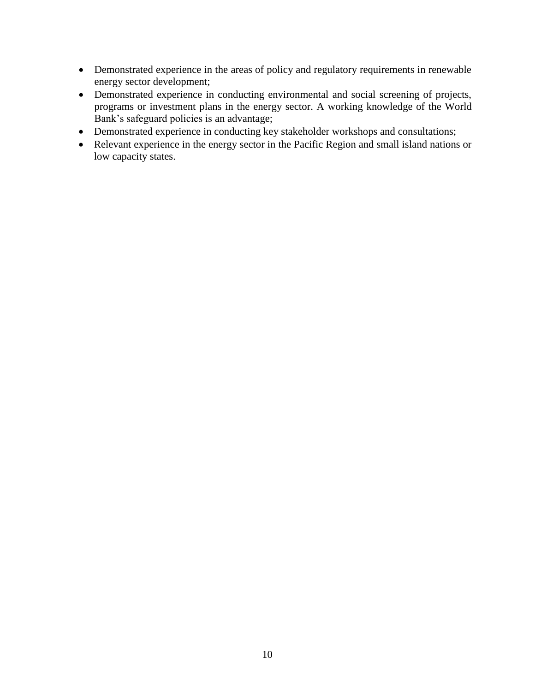- Demonstrated experience in the areas of policy and regulatory requirements in renewable energy sector development;
- Demonstrated experience in conducting environmental and social screening of projects, programs or investment plans in the energy sector. A working knowledge of the World Bank's safeguard policies is an advantage;
- Demonstrated experience in conducting key stakeholder workshops and consultations;
- Relevant experience in the energy sector in the Pacific Region and small island nations or low capacity states.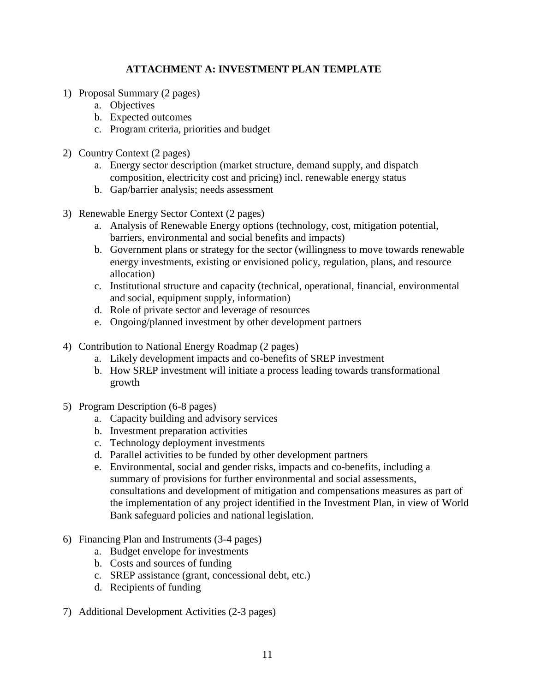# **ATTACHMENT A: INVESTMENT PLAN TEMPLATE**

- 1) Proposal Summary (2 pages)
	- a. Objectives
	- b. Expected outcomes
	- c. Program criteria, priorities and budget
- 2) Country Context (2 pages)
	- a. Energy sector description (market structure, demand supply, and dispatch composition, electricity cost and pricing) incl. renewable energy status
	- b. Gap/barrier analysis; needs assessment
- 3) Renewable Energy Sector Context (2 pages)
	- a. Analysis of Renewable Energy options (technology, cost, mitigation potential, barriers, environmental and social benefits and impacts)
	- b. Government plans or strategy for the sector (willingness to move towards renewable energy investments, existing or envisioned policy, regulation, plans, and resource allocation)
	- c. Institutional structure and capacity (technical, operational, financial, environmental and social, equipment supply, information)
	- d. Role of private sector and leverage of resources
	- e. Ongoing/planned investment by other development partners
- 4) Contribution to National Energy Roadmap (2 pages)
	- a. Likely development impacts and co-benefits of SREP investment
	- b. How SREP investment will initiate a process leading towards transformational growth
- 5) Program Description (6-8 pages)
	- a. Capacity building and advisory services
	- b. Investment preparation activities
	- c. Technology deployment investments
	- d. Parallel activities to be funded by other development partners
	- e. Environmental, social and gender risks, impacts and co-benefits, including a summary of provisions for further environmental and social assessments, consultations and development of mitigation and compensations measures as part of the implementation of any project identified in the Investment Plan, in view of World Bank safeguard policies and national legislation.
- 6) Financing Plan and Instruments (3-4 pages)
	- a. Budget envelope for investments
	- b. Costs and sources of funding
	- c. SREP assistance (grant, concessional debt, etc.)
	- d. Recipients of funding
- 7) Additional Development Activities (2-3 pages)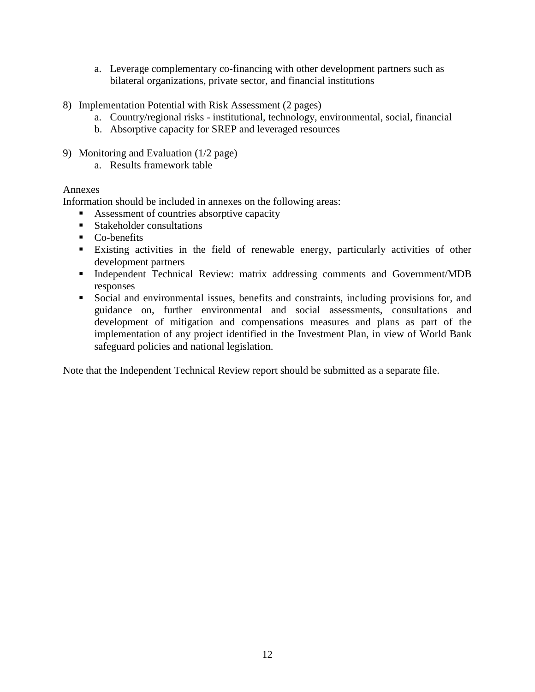- a. Leverage complementary co-financing with other development partners such as bilateral organizations, private sector, and financial institutions
- 8) Implementation Potential with Risk Assessment (2 pages)
	- a. Country/regional risks institutional, technology, environmental, social, financial
	- b. Absorptive capacity for SREP and leveraged resources
- 9) Monitoring and Evaluation (1/2 page)
	- a. Results framework table

#### Annexes

Information should be included in annexes on the following areas:

- Assessment of countries absorptive capacity
- **Stakeholder consultations**
- Co-benefits
- Existing activities in the field of renewable energy, particularly activities of other development partners
- Independent Technical Review: matrix addressing comments and Government/MDB responses
- Social and environmental issues, benefits and constraints, including provisions for, and guidance on, further environmental and social assessments, consultations and development of mitigation and compensations measures and plans as part of the implementation of any project identified in the Investment Plan, in view of World Bank safeguard policies and national legislation.

Note that the Independent Technical Review report should be submitted as a separate file.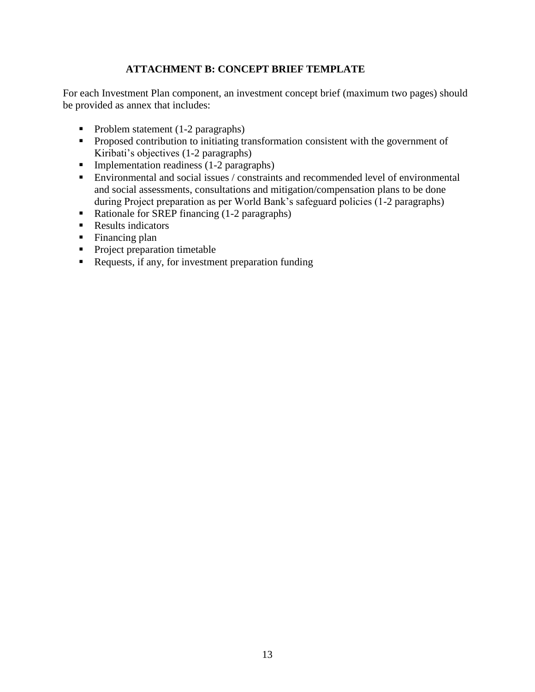# **ATTACHMENT B: CONCEPT BRIEF TEMPLATE**

For each Investment Plan component, an investment concept brief (maximum two pages) should be provided as annex that includes:

- Problem statement  $(1-2)$  paragraphs)
- **Proposed contribution to initiating transformation consistent with the government of** Kiribati's objectives (1-2 paragraphs)
- $\blacksquare$  Implementation readiness (1-2 paragraphs)
- Environmental and social issues / constraints and recommended level of environmental and social assessments, consultations and mitigation/compensation plans to be done during Project preparation as per World Bank's safeguard policies (1-2 paragraphs)
- Rationale for SREP financing (1-2 paragraphs)
- **Results indicators**
- Financing plan
- Project preparation timetable
- Requests, if any, for investment preparation funding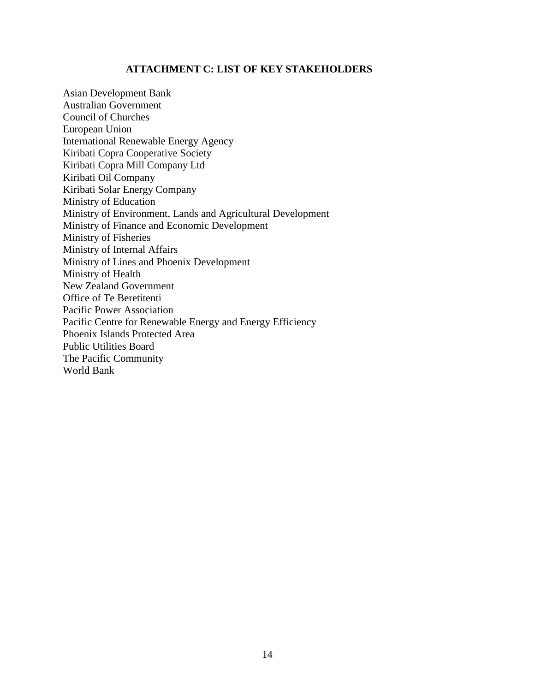### **ATTACHMENT C: LIST OF KEY STAKEHOLDERS**

Asian Development Bank Australian Government Council of Churches European Union International Renewable Energy Agency Kiribati Copra Cooperative Society Kiribati Copra Mill Company Ltd Kiribati Oil Company Kiribati Solar Energy Company Ministry of Education Ministry of Environment, Lands and Agricultural Development Ministry of Finance and Economic Development Ministry of Fisheries Ministry of Internal Affairs Ministry of Lines and Phoenix Development Ministry of Health New Zealand Government Office of Te Beretitenti Pacific Power Association Pacific Centre for Renewable Energy and Energy Efficiency Phoenix Islands Protected Area Public Utilities Board The Pacific Community World Bank